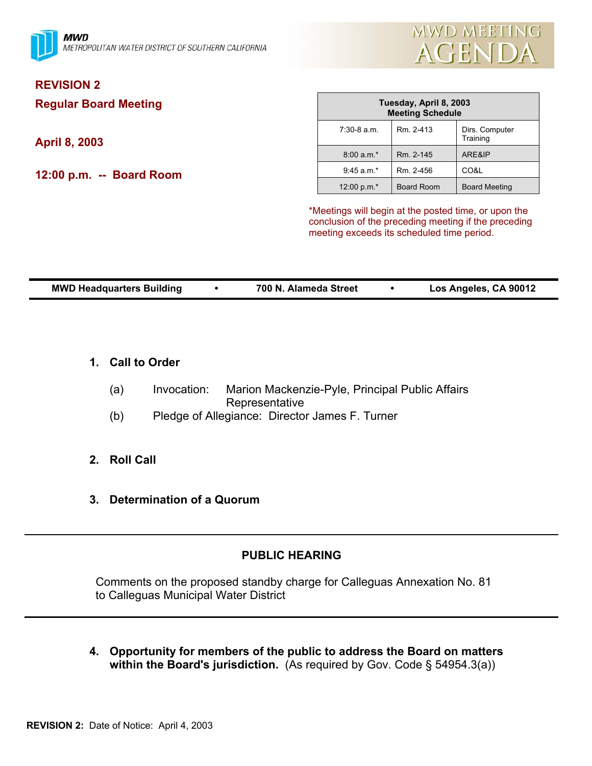

# **REVISION 2**

**Regular Board Meeting** 

**April 8, 2003** 

**12:00 p.m. -- Board Room** 

| Tuesday, April 8, 2003<br><b>Meeting Schedule</b> |                   |                            |  |  |
|---------------------------------------------------|-------------------|----------------------------|--|--|
| $7:30-8$ a.m.                                     | Rm. 2-413         | Dirs. Computer<br>Training |  |  |
| $8:00 a.m.*$                                      | Rm. 2-145         | ARE&IP                     |  |  |
| $9:45$ a.m.*                                      | Rm. 2-456         | CO&L                       |  |  |
| 12:00 p.m. $*$                                    | <b>Board Room</b> | <b>Board Meeting</b>       |  |  |

\*Meetings will begin at the posted time, or upon the conclusion of the preceding meeting if the preceding meeting exceeds its scheduled time period.

| <b>MWD Headquarters Building</b> | 700 N. Alameda Street | Los Angeles, CA 90012 |
|----------------------------------|-----------------------|-----------------------|

- **1. Call to Order**
	- (a) Invocation: Marion Mackenzie-Pyle, Principal Public Affairs Representative
	- (b) Pledge of Allegiance: Director James F. Turner
- **2. Roll Call**
- **3. Determination of a Quorum**

## **PUBLIC HEARING**

 Comments on the proposed standby charge for Calleguas Annexation No. 81 to Calleguas Municipal Water District

**4. Opportunity for members of the public to address the Board on matters within the Board's jurisdiction.** (As required by Gov. Code § 54954.3(a))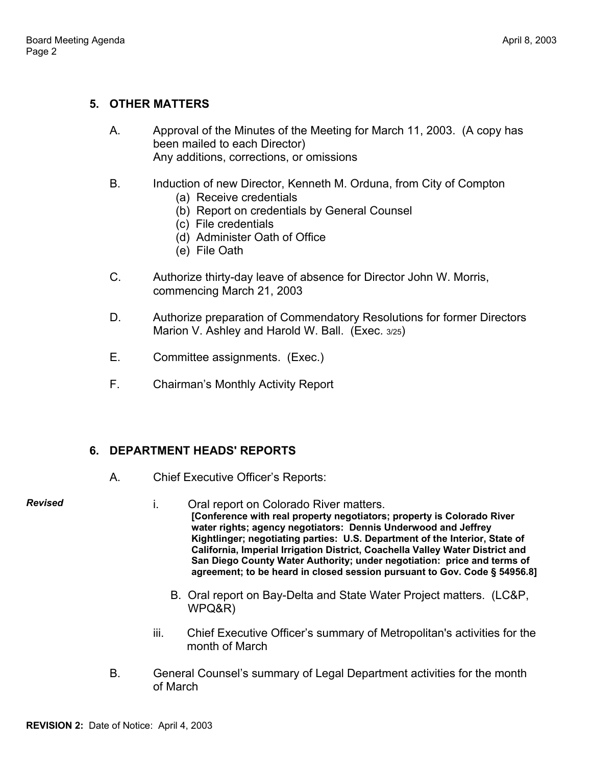## **5. OTHER MATTERS**

- A. Approval of the Minutes of the Meeting for March 11, 2003. (A copy has been mailed to each Director) Any additions, corrections, or omissions
- B. Induction of new Director, Kenneth M. Orduna, from City of Compton
	- (a) Receive credentials
	- (b) Report on credentials by General Counsel
	- (c) File credentials
	- (d) Administer Oath of Office
	- (e) File Oath
- C. Authorize thirty-day leave of absence for Director John W. Morris, commencing March 21, 2003
- D. Authorize preparation of Commendatory Resolutions for former Directors Marion V. Ashley and Harold W. Ball. (Exec. 3/25)
- E. Committee assignments. (Exec.)
- F. Chairman's Monthly Activity Report

# **6. DEPARTMENT HEADS' REPORTS**

A. Chief Executive Officer's Reports:

*Revised* 

- i. Oral report on Colorado River matters. **[Conference with real property negotiators; property is Colorado River water rights; agency negotiators: Dennis Underwood and Jeffrey Kightlinger; negotiating parties: U.S. Department of the Interior, State of California, Imperial Irrigation District, Coachella Valley Water District and San Diego County Water Authority; under negotiation: price and terms of agreement; to be heard in closed session pursuant to Gov. Code § 54956.8]** 
	- B. Oral report on Bay-Delta and State Water Project matters. (LC&P, WPQ&R)
- iii. Chief Executive Officer's summary of Metropolitan's activities for the month of March
- B. General Counsel's summary of Legal Department activities for the month of March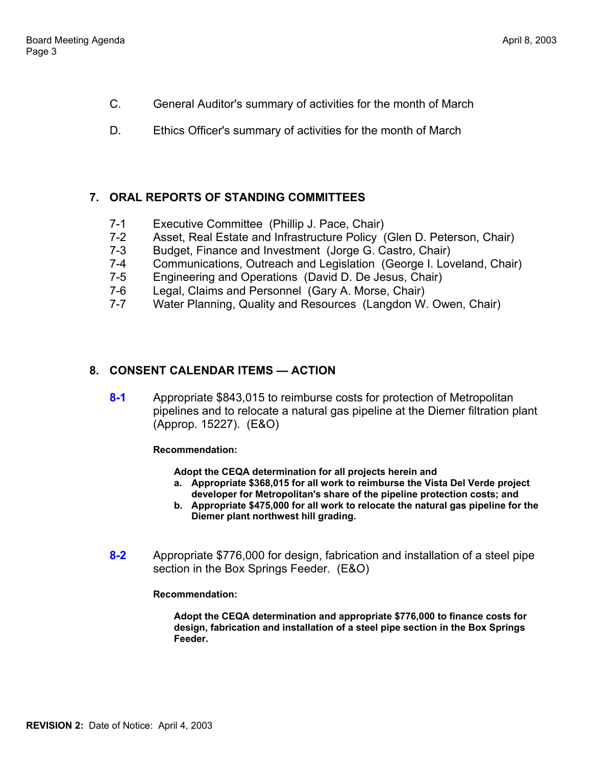- C. General Auditor's summary of activities for the month of March
- D. Ethics Officer's summary of activities for the month of March

## **7. ORAL REPORTS OF STANDING COMMITTEES**

- 7-1 Executive Committee (Phillip J. Pace, Chair)
- 7-2 Asset, Real Estate and Infrastructure Policy (Glen D. Peterson, Chair)
- 7-3 Budget, Finance and Investment (Jorge G. Castro, Chair)
- 7-4 Communications, Outreach and Legislation (George I. Loveland, Chair)
- 7-5 Engineering and Operations (David D. De Jesus, Chair)
- 7-6 Legal, Claims and Personnel (Gary A. Morse, Chair)
- 7-7 Water Planning, Quality and Resources (Langdon W. Owen, Chair)

# **8. CONSENT CALENDAR ITEMS — ACTION**

**8-1** Appropriate \$843,015 to reimburse costs for protection of Metropolitan pipelines and to relocate a natural gas pipeline at the Diemer filtration plant (Approp. 15227). (E&O)

**Recommendation:** 

**Adopt the CEQA determination for all projects herein and** 

- **a. Appropriate \$368,015 for all work to reimburse the Vista Del Verde project developer for Metropolitan's share of the pipeline protection costs; and**
- **b. Appropriate \$475,000 for all work to relocate the natural gas pipeline for the Diemer plant northwest hill grading.**
- **8-2** Appropriate \$776,000 for design, fabrication and installation of a steel pipe section in the Box Springs Feeder. (E&O)

**Recommendation:** 

**Adopt the CEQA determination and appropriate \$776,000 to finance costs for design, fabrication and installation of a steel pipe section in the Box Springs Feeder.**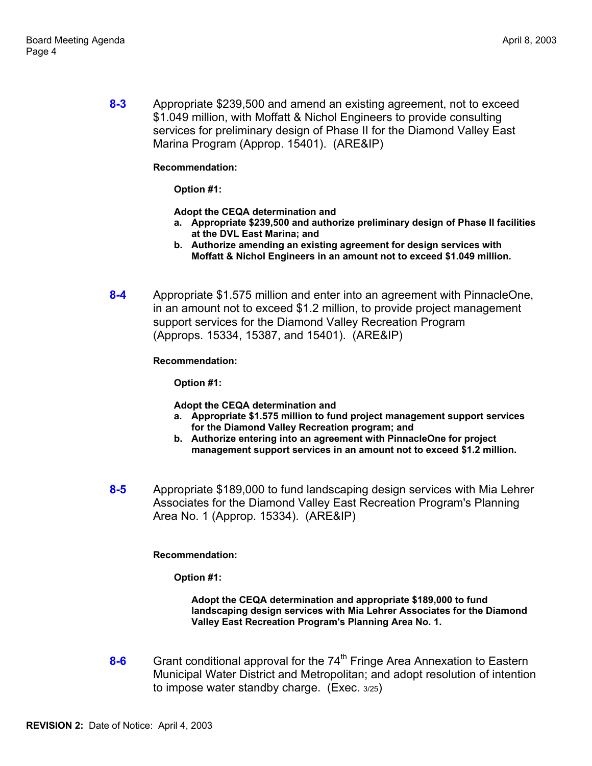**8-3** Appropriate \$239,500 and amend an existing agreement, not to exceed \$1.049 million, with Moffatt & Nichol Engineers to provide consulting services for preliminary design of Phase II for the Diamond Valley East Marina Program (Approp. 15401). (ARE&IP)

**Recommendation:** 

**Option #1:** 

**Adopt the CEQA determination and** 

- **a. Appropriate \$239,500 and authorize preliminary design of Phase II facilities at the DVL East Marina; and**
- **b. Authorize amending an existing agreement for design services with Moffatt & Nichol Engineers in an amount not to exceed \$1.049 million.**
- **8-4** Appropriate \$1.575 million and enter into an agreement with PinnacleOne, in an amount not to exceed \$1.2 million, to provide project management support services for the Diamond Valley Recreation Program (Approps. 15334, 15387, and 15401). (ARE&IP)

**Recommendation:** 

**Option #1:** 

**Adopt the CEQA determination and** 

- **a. Appropriate \$1.575 million to fund project management support services for the Diamond Valley Recreation program; and**
- **b. Authorize entering into an agreement with PinnacleOne for project management support services in an amount not to exceed \$1.2 million.**
- **8-5** Appropriate \$189,000 to fund landscaping design services with Mia Lehrer Associates for the Diamond Valley East Recreation Program's Planning Area No. 1 (Approp. 15334). (ARE&IP)

**Recommendation:** 

**Option #1:** 

**Adopt the CEQA determination and appropriate \$189,000 to fund landscaping design services with Mia Lehrer Associates for the Diamond Valley East Recreation Program's Planning Area No. 1.** 

8-6 Grant conditional approval for the 74<sup>th</sup> Fringe Area Annexation to Eastern Municipal Water District and Metropolitan; and adopt resolution of intention to impose water standby charge. (Exec. 3/25)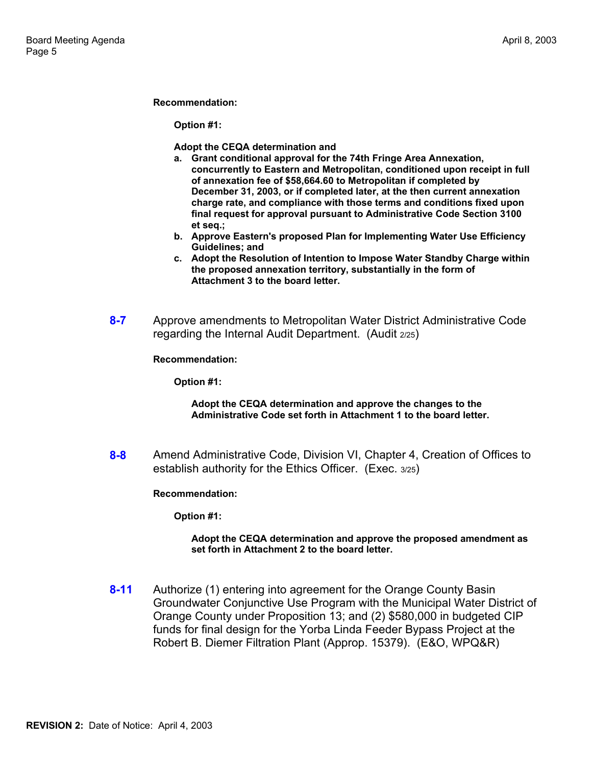#### **Recommendation:**

**Option #1:** 

**Adopt the CEQA determination and** 

- **a. Grant conditional approval for the 74th Fringe Area Annexation, concurrently to Eastern and Metropolitan, conditioned upon receipt in full of annexation fee of \$58,664.60 to Metropolitan if completed by December 31, 2003, or if completed later, at the then current annexation charge rate, and compliance with those terms and conditions fixed upon final request for approval pursuant to Administrative Code Section 3100 et seq.;**
- **b. Approve Eastern's proposed Plan for Implementing Water Use Efficiency Guidelines; and**
- **c. Adopt the Resolution of Intention to Impose Water Standby Charge within the proposed annexation territory, substantially in the form of Attachment 3 to the board letter.**
- **8-7** Approve amendments to Metropolitan Water District Administrative Code regarding the Internal Audit Department. (Audit 2/25)

**Recommendation:** 

**Option #1:** 

#### **Adopt the CEQA determination and approve the changes to the Administrative Code set forth in Attachment 1 to the board letter.**

**8-8** Amend Administrative Code, Division VI, Chapter 4, Creation of Offices to establish authority for the Ethics Officer. (Exec. 3/25)

**Recommendation:** 

**Option #1:** 

#### **Adopt the CEQA determination and approve the proposed amendment as set forth in Attachment 2 to the board letter.**

**8-11** Authorize (1) entering into agreement for the Orange County Basin Groundwater Conjunctive Use Program with the Municipal Water District of Orange County under Proposition 13; and (2) \$580,000 in budgeted CIP funds for final design for the Yorba Linda Feeder Bypass Project at the Robert B. Diemer Filtration Plant (Approp. 15379). (E&O, WPQ&R)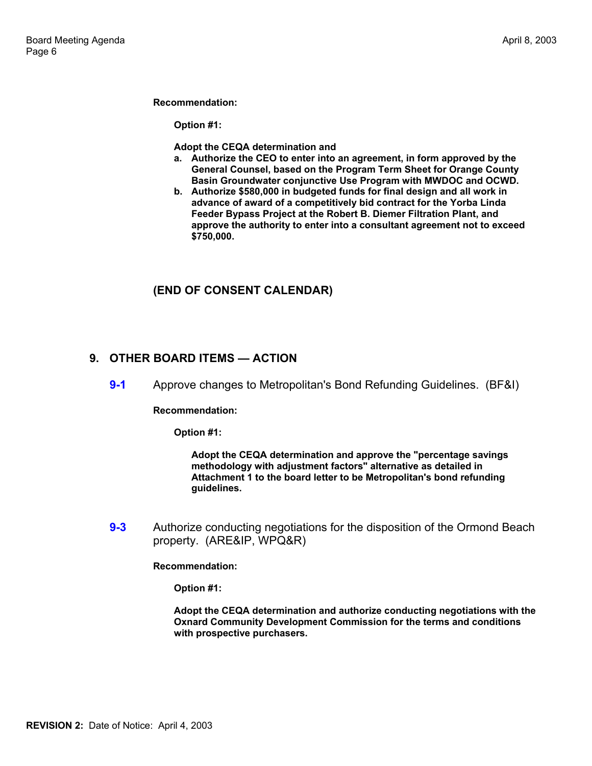#### **Recommendation:**

**Option #1:** 

**Adopt the CEQA determination and** 

- **a. Authorize the CEO to enter into an agreement, in form approved by the General Counsel, based on the Program Term Sheet for Orange County Basin Groundwater conjunctive Use Program with MWDOC and OCWD.**
- **b. Authorize \$580,000 in budgeted funds for final design and all work in advance of award of a competitively bid contract for the Yorba Linda Feeder Bypass Project at the Robert B. Diemer Filtration Plant, and approve the authority to enter into a consultant agreement not to exceed \$750,000.**

## **(END OF CONSENT CALENDAR)**

### **9. OTHER BOARD ITEMS — ACTION**

**9-1** • Approve changes to Metropolitan's Bond Refunding Guidelines. (BF&I)

**Recommendation:** 

**Option #1:** 

**Adopt the CEQA determination and approve the "percentage savings methodology with adjustment factors" alternative as detailed in Attachment 1 to the board letter to be Metropolitan's bond refunding guidelines.** 

**9-3** Authorize conducting negotiations for the disposition of the Ormond Beach property. (ARE&IP, WPQ&R)

**Recommendation:** 

**Option #1:** 

**Adopt the CEQA determination and authorize conducting negotiations with the Oxnard Community Development Commission for the terms and conditions with prospective purchasers.**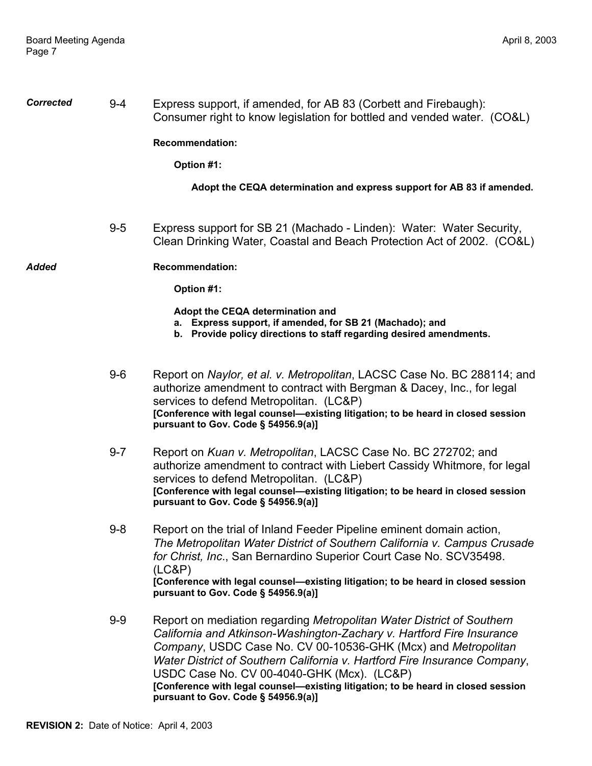*Corrected* 9-4 Express support, if amended, for AB 83 (Corbett and Firebaugh): Consumer right to know legislation for bottled and vended water. (CO&L)

**Recommendation:** 

**Option #1:** 

**Adopt the CEQA determination and express support for AB 83 if amended.** 

 9-5 Express support for SB 21 (Machado - Linden): Water: Water Security, Clean Drinking Water, Coastal and Beach Protection Act of 2002. (CO&L)

*Added* **Recommendation:** 

**Option #1:** 

**Adopt the CEQA determination and** 

- **a. Express support, if amended, for SB 21 (Machado); and**
- **b. Provide policy directions to staff regarding desired amendments.**
- 9-6 Report on *Naylor, et al. v. Metropolitan*, LACSC Case No. BC 288114; and authorize amendment to contract with Bergman & Dacey, Inc., for legal services to defend Metropolitan. (LC&P) **[Conference with legal counsel—existing litigation; to be heard in closed session pursuant to Gov. Code § 54956.9(a)]**
- 9-7 Report on *Kuan v. Metropolitan*, LACSC Case No. BC 272702; and authorize amendment to contract with Liebert Cassidy Whitmore, for legal services to defend Metropolitan. (LC&P) **[Conference with legal counsel—existing litigation; to be heard in closed session pursuant to Gov. Code § 54956.9(a)]**
- 9-8 Report on the trial of Inland Feeder Pipeline eminent domain action, *The Metropolitan Water District of Southern California v. Campus Crusade for Christ, Inc*., San Bernardino Superior Court Case No. SCV35498. (LC&P) **[Conference with legal counsel—existing litigation; to be heard in closed session pursuant to Gov. Code § 54956.9(a)]**
- 9-9 Report on mediation regarding *Metropolitan Water District of Southern California and Atkinson-Washington-Zachary v. Hartford Fire Insurance Company*, USDC Case No. CV 00-10536-GHK (Mcx) and *Metropolitan Water District of Southern California v. Hartford Fire Insurance Company*, USDC Case No. CV 00-4040-GHK (Mcx). (LC&P) **[Conference with legal counsel—existing litigation; to be heard in closed session pursuant to Gov. Code § 54956.9(a)]**